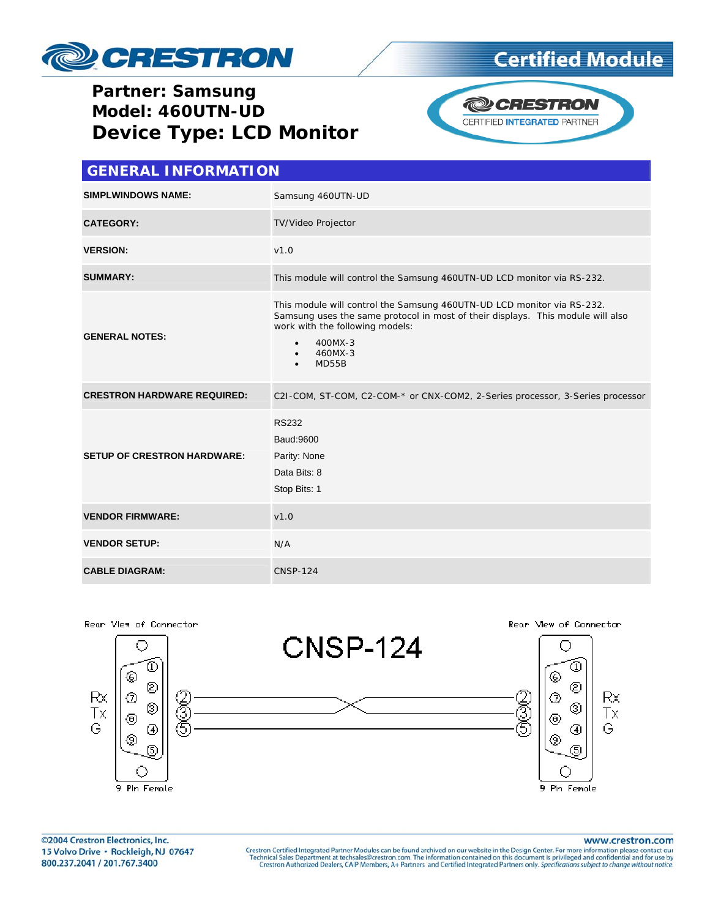

## **Certified Module**

#### **Partner: Samsung** Model: 460UTN-UD **Device Type: LCD Monitor**



| <b>GENERAL INFORMATION</b>         |                                                                                                                                                                                                                                                                    |  |  |
|------------------------------------|--------------------------------------------------------------------------------------------------------------------------------------------------------------------------------------------------------------------------------------------------------------------|--|--|
| <b>SIMPLWINDOWS NAME:</b>          | Samsung 460UTN-UD                                                                                                                                                                                                                                                  |  |  |
| <b>CATEGORY:</b>                   | TV/Video Projector                                                                                                                                                                                                                                                 |  |  |
| <b>VERSION:</b>                    | V1.0                                                                                                                                                                                                                                                               |  |  |
| <b>SUMMARY:</b>                    | This module will control the Samsung 460UTN-UD LCD monitor via RS-232.                                                                                                                                                                                             |  |  |
| <b>GENERAL NOTES:</b>              | This module will control the Samsung 460UTN-UD LCD monitor via RS-232.<br>Samsung uses the same protocol in most of their displays. This module will also<br>work with the following models:<br>400MX-3<br>$\bullet$<br>460MX-3<br>$\bullet$<br>MD55B<br>$\bullet$ |  |  |
| <b>CRESTRON HARDWARE REQUIRED:</b> | C2I-COM, ST-COM, C2-COM-* or CNX-COM2, 2-Series processor, 3-Series processor                                                                                                                                                                                      |  |  |
| <b>SETUP OF CRESTRON HARDWARE:</b> | <b>RS232</b><br>Baud: 9600<br>Parity: None<br>Data Bits: 8<br>Stop Bits: 1                                                                                                                                                                                         |  |  |
| <b>VENDOR FIRMWARE:</b>            | V1.0                                                                                                                                                                                                                                                               |  |  |
| <b>VENDOR SETUP:</b>               | N/A                                                                                                                                                                                                                                                                |  |  |
| <b>CABLE DIAGRAM:</b>              | <b>CNSP-124</b>                                                                                                                                                                                                                                                    |  |  |



©2004 Crestron Electronics, Inc. 15 Volvo Drive · Rockleigh, NJ 07647 800.237.2041 / 201.767.3400

#### www.crestron.com

Crestron Certified Integrated Partner Modules can be found archived on our website in the Design Center. For more information please contact our Technical Sales Department at techsales@crestron.com. The information contain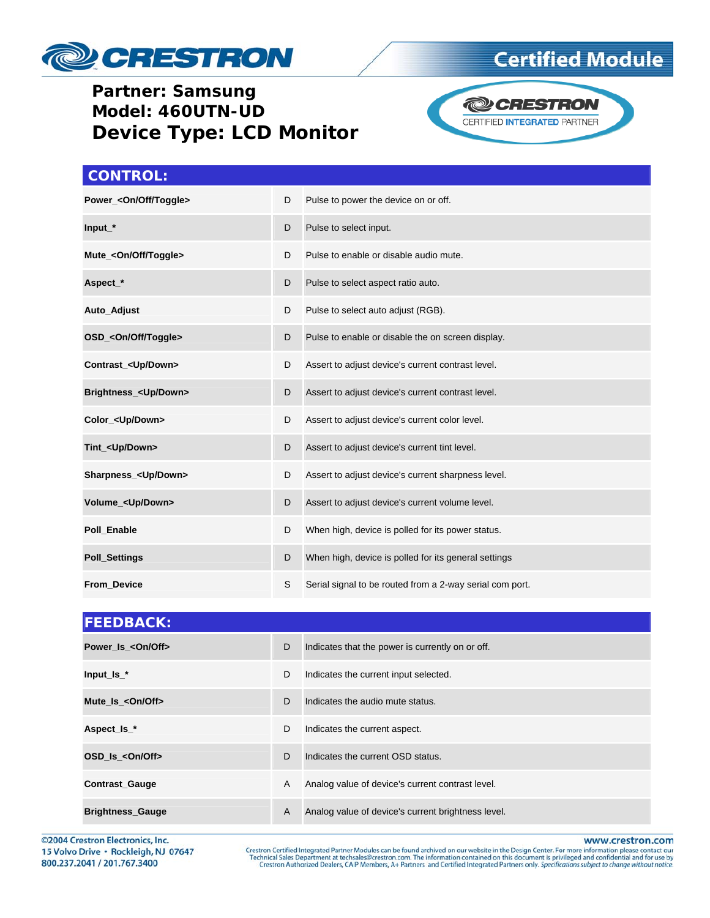

### **Partner: Samsung Model: 460UTN-UD Device Type: LCD Monitor**





#### **CONTROL:**

| Power_ <on off="" toggle=""></on> | D | Pulse to power the device on or off.                     |
|-----------------------------------|---|----------------------------------------------------------|
| $Input_$ *                        | D | Pulse to select input.                                   |
| Mute_ <on off="" toggle=""></on>  | D | Pulse to enable or disable audio mute.                   |
| Aspect_*                          | D | Pulse to select aspect ratio auto.                       |
| Auto_Adjust                       | D | Pulse to select auto adjust (RGB).                       |
| OSD_ <on off="" toggle=""></on>   | D | Pulse to enable or disable the on screen display.        |
| Contrast_ <up down=""></up>       | D | Assert to adjust device's current contrast level.        |
| Brightness_ <up down=""></up>     | D | Assert to adjust device's current contrast level.        |
| Color_ <up down=""></up>          | D | Assert to adjust device's current color level.           |
| Tint_ <up down=""></up>           | D | Assert to adjust device's current tint level.            |
| Sharpness <up down=""></up>       | D | Assert to adjust device's current sharpness level.       |
| Volume_ <up down=""></up>         | D | Assert to adjust device's current volume level.          |
| Poll Enable                       | D | When high, device is polled for its power status.        |
| <b>Poll_Settings</b>              | D | When high, device is polled for its general settings     |
| From_Device                       | S | Serial signal to be routed from a 2-way serial com port. |

| <b>FEEDBACK:</b>        |   |                                                    |  |  |
|-------------------------|---|----------------------------------------------------|--|--|
| Power Is < On/Off>      | D | Indicates that the power is currently on or off.   |  |  |
| Input_Is_ $*$           | D | Indicates the current input selected.              |  |  |
| Mute Is < On/Off>       | D | Indicates the audio mute status.                   |  |  |
| Aspect_Is_*             | D | Indicates the current aspect.                      |  |  |
| OSD Is <0n/0ff>         | D | Indicates the current OSD status.                  |  |  |
| <b>Contrast_Gauge</b>   | A | Analog value of device's current contrast level.   |  |  |
| <b>Brightness_Gauge</b> | A | Analog value of device's current brightness level. |  |  |

©2004 Crestron Electronics, Inc. 15 Volvo Drive · Rockleigh, NJ 07647 800.237.2041 / 201.767.3400

www.crestron.com

Crestron Certified Integrated Partner Modules can be found archived on our website in the Design Center. For more information please contact our Technical Sales Department at techsales@crestron.com. The information contain